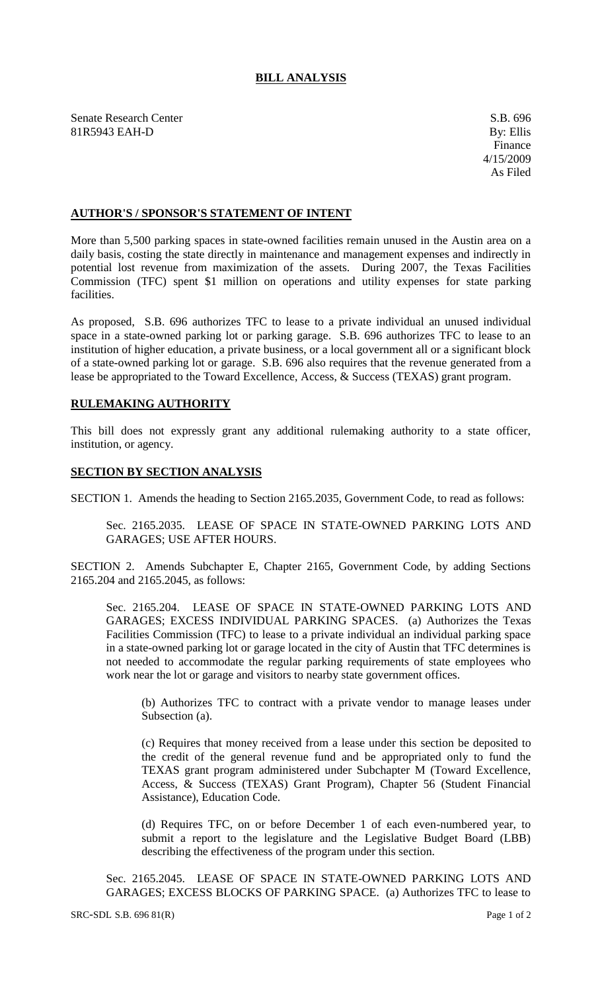## **BILL ANALYSIS**

Senate Research Center S.B. 696 81R5943 EAH-D By: Ellis

## **AUTHOR'S / SPONSOR'S STATEMENT OF INTENT**

More than 5,500 parking spaces in state-owned facilities remain unused in the Austin area on a daily basis, costing the state directly in maintenance and management expenses and indirectly in potential lost revenue from maximization of the assets. During 2007, the Texas Facilities Commission (TFC) spent \$1 million on operations and utility expenses for state parking facilities.

As proposed, S.B. 696 authorizes TFC to lease to a private individual an unused individual space in a state-owned parking lot or parking garage. S.B. 696 authorizes TFC to lease to an institution of higher education, a private business, or a local government all or a significant block of a state-owned parking lot or garage. S.B. 696 also requires that the revenue generated from a lease be appropriated to the Toward Excellence, Access, & Success (TEXAS) grant program.

## **RULEMAKING AUTHORITY**

This bill does not expressly grant any additional rulemaking authority to a state officer, institution, or agency.

## **SECTION BY SECTION ANALYSIS**

SECTION 1. Amends the heading to Section 2165.2035, Government Code, to read as follows:

Sec. 2165.2035. LEASE OF SPACE IN STATE-OWNED PARKING LOTS AND GARAGES; USE AFTER HOURS.

SECTION 2. Amends Subchapter E, Chapter 2165, Government Code, by adding Sections 2165.204 and 2165.2045, as follows:

Sec. 2165.204. LEASE OF SPACE IN STATE-OWNED PARKING LOTS AND GARAGES; EXCESS INDIVIDUAL PARKING SPACES. (a) Authorizes the Texas Facilities Commission (TFC) to lease to a private individual an individual parking space in a state-owned parking lot or garage located in the city of Austin that TFC determines is not needed to accommodate the regular parking requirements of state employees who work near the lot or garage and visitors to nearby state government offices.

(b) Authorizes TFC to contract with a private vendor to manage leases under Subsection (a).

(c) Requires that money received from a lease under this section be deposited to the credit of the general revenue fund and be appropriated only to fund the TEXAS grant program administered under Subchapter M (Toward Excellence, Access, & Success (TEXAS) Grant Program), Chapter 56 (Student Financial Assistance), Education Code.

(d) Requires TFC, on or before December 1 of each even-numbered year, to submit a report to the legislature and the Legislative Budget Board (LBB) describing the effectiveness of the program under this section.

Sec. 2165.2045. LEASE OF SPACE IN STATE-OWNED PARKING LOTS AND GARAGES; EXCESS BLOCKS OF PARKING SPACE. (a) Authorizes TFC to lease to